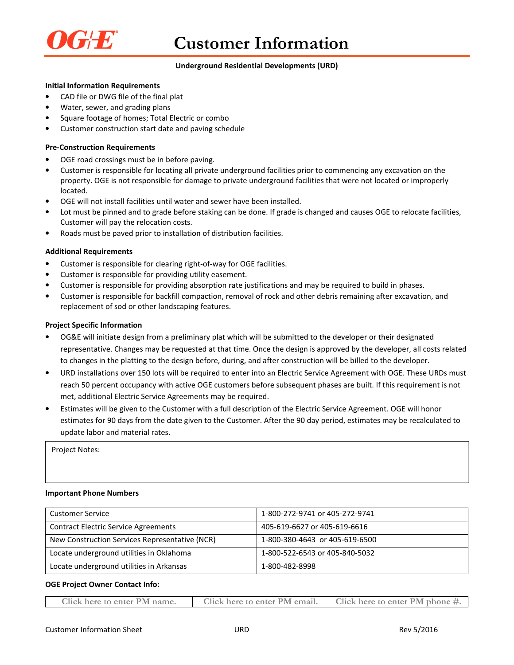

# **Underground Residential Developments (URD)**

# **Initial Information Requirements**

- CAD file or DWG file of the final plat
- Water, sewer, and grading plans
- Square footage of homes; Total Electric or combo
- Customer construction start date and paving schedule

### **Pre-Construction Requirements**

- OGE road crossings must be in before paving.
- Customer is responsible for locating all private underground facilities prior to commencing any excavation on the property. OGE is not responsible for damage to private underground facilities that were not located or improperly located.
- OGE will not install facilities until water and sewer have been installed.
- Lot must be pinned and to grade before staking can be done. If grade is changed and causes OGE to relocate facilities, Customer will pay the relocation costs.
- Roads must be paved prior to installation of distribution facilities.

### **Additional Requirements**

- Customer is responsible for clearing right-of-way for OGE facilities.
- Customer is responsible for providing utility easement.
- Customer is responsible for providing absorption rate justifications and may be required to build in phases.
- Customer is responsible for backfill compaction, removal of rock and other debris remaining after excavation, and replacement of sod or other landscaping features.

### **Project Specific Information**

- OG&E will initiate design from a preliminary plat which will be submitted to the developer or their designated representative. Changes may be requested at that time. Once the design is approved by the developer, all costs related to changes in the platting to the design before, during, and after construction will be billed to the developer.
- URD installations over 150 lots will be required to enter into an Electric Service Agreement with OGE. These URDs must reach 50 percent occupancy with active OGE customers before subsequent phases are built. If this requirement is not met, additional Electric Service Agreements may be required.
- Estimates will be given to the Customer with a full description of the Electric Service Agreement. OGE will honor estimates for 90 days from the date given to the Customer. After the 90 day period, estimates may be recalculated to update labor and material rates.

Project Notes:

### **Important Phone Numbers**

| Customer Service                               | 1-800-272-9741 or 405-272-9741 |
|------------------------------------------------|--------------------------------|
| <b>Contract Electric Service Agreements</b>    | 405-619-6627 or 405-619-6616   |
| New Construction Services Representative (NCR) | 1-800-380-4643 or 405-619-6500 |
| Locate underground utilities in Oklahoma       | 1-800-522-6543 or 405-840-5032 |
| Locate underground utilities in Arkansas       | 1-800-482-8998                 |

### **OGE Project Owner Contact Info:**

| Click here to enter PM name. | Click here to enter PM email. | $\blacksquare$ Click here to enter PM phone #. |
|------------------------------|-------------------------------|------------------------------------------------|
|------------------------------|-------------------------------|------------------------------------------------|